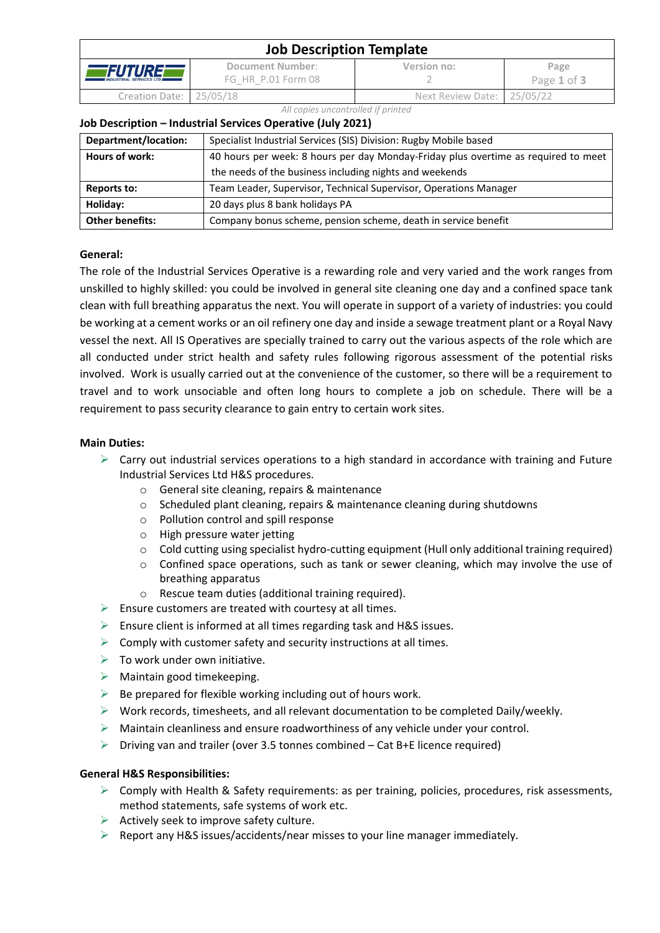| <b>Job Description Template</b>                   |                                        |                            |                     |  |  |
|---------------------------------------------------|----------------------------------------|----------------------------|---------------------|--|--|
| <i>FUTUREE</i><br><b>INDUSTRIAL SERVICES LTD.</b> | Document Number:<br>FG HR P.01 Form 08 | Version no:                | Page<br>Page 1 of 3 |  |  |
| Creation Date: 25/05/18                           |                                        | Next Review Date: 25/05/22 |                     |  |  |

#### *All copies uncontrolled if printed*

### **Job Description – Industrial Services Operative (July 2021)**

| Department/location:   | Specialist Industrial Services (SIS) Division: Rugby Mobile based                  |  |
|------------------------|------------------------------------------------------------------------------------|--|
| Hours of work:         | 40 hours per week: 8 hours per day Monday-Friday plus overtime as required to meet |  |
|                        | the needs of the business including nights and weekends                            |  |
| Reports to:            | Team Leader, Supervisor, Technical Supervisor, Operations Manager                  |  |
| Holiday:               | 20 days plus 8 bank holidays PA                                                    |  |
| <b>Other benefits:</b> | Company bonus scheme, pension scheme, death in service benefit                     |  |

## **General:**

The role of the Industrial Services Operative is a rewarding role and very varied and the work ranges from unskilled to highly skilled: you could be involved in general site cleaning one day and a confined space tank clean with full breathing apparatus the next. You will operate in support of a variety of industries: you could be working at a cement works or an oil refinery one day and inside a sewage treatment plant or a Royal Navy vessel the next. All IS Operatives are specially trained to carry out the various aspects of the role which are all conducted under strict health and safety rules following rigorous assessment of the potential risks involved. Work is usually carried out at the convenience of the customer, so there will be a requirement to travel and to work unsociable and often long hours to complete a job on schedule. There will be a requirement to pass security clearance to gain entry to certain work sites.

## **Main Duties:**

- $\triangleright$  Carry out industrial services operations to a high standard in accordance with training and Future Industrial Services Ltd H&S procedures.
	- o General site cleaning, repairs & maintenance
	- o Scheduled plant cleaning, repairs & maintenance cleaning during shutdowns
	- o Pollution control and spill response
	- o High pressure water jetting
	- o Cold cutting using specialist hydro-cutting equipment (Hull only additional training required)
	- $\circ$  Confined space operations, such as tank or sewer cleaning, which may involve the use of breathing apparatus
	- $\circ$  Rescue team duties (additional training required).
- $\triangleright$  Ensure customers are treated with courtesy at all times.
- $\triangleright$  Ensure client is informed at all times regarding task and H&S issues.
- $\triangleright$  Comply with customer safety and security instructions at all times.
- $\triangleright$  To work under own initiative.
- $\triangleright$  Maintain good timekeeping.
- $\triangleright$  Be prepared for flexible working including out of hours work.
- $\triangleright$  Work records, timesheets, and all relevant documentation to be completed Daily/weekly.
- $\triangleright$  Maintain cleanliness and ensure roadworthiness of any vehicle under your control.
- $\triangleright$  Driving van and trailer (over 3.5 tonnes combined Cat B+E licence required)

### **General H&S Responsibilities:**

- $\triangleright$  Comply with Health & Safety requirements: as per training, policies, procedures, risk assessments, method statements, safe systems of work etc.
- $\triangleright$  Actively seek to improve safety culture.
- $\triangleright$  Report any H&S issues/accidents/near misses to your line manager immediately.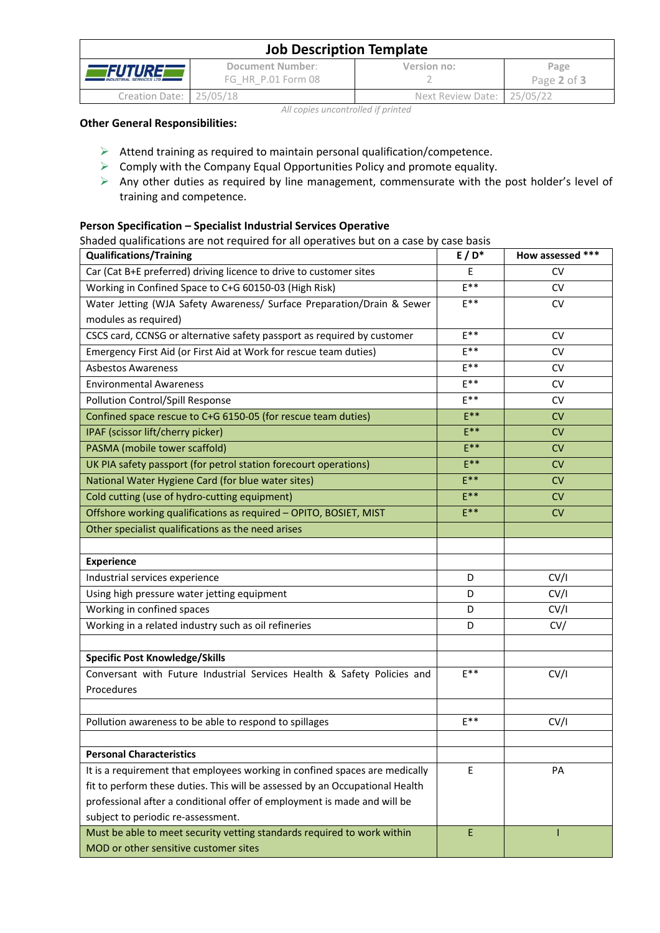| <b>Job Description Template</b>                      |                                        |                            |                     |  |  |
|------------------------------------------------------|----------------------------------------|----------------------------|---------------------|--|--|
| <i>FUTUREF</i><br><b>INDUSTRIAL SERVICES LTD III</b> | Document Number:<br>FG HR P.01 Form 08 | Version no:                | Page<br>Page 2 of 3 |  |  |
| Creation Date: 25/05/18                              |                                        | Next Review Date: 25/05/22 |                     |  |  |

## *All copies uncontrolled if printed*

## **Other General Responsibilities:**

- $\triangleright$  Attend training as required to maintain personal qualification/competence.
- $\triangleright$  Comply with the Company Equal Opportunities Policy and promote equality.
- ➢ Any other duties as required by line management, commensurate with the post holder's level of training and competence.

# **Person Specification – Specialist Industrial Services Operative**

Shaded qualifications are not required for all operatives but on a case by case basis

| <b>Qualifications/Training</b>                                               | $E/D^*$  | How assessed *** |
|------------------------------------------------------------------------------|----------|------------------|
| Car (Cat B+E preferred) driving licence to drive to customer sites           | E        | <b>CV</b>        |
| Working in Confined Space to C+G 60150-03 (High Risk)                        | $E^{**}$ | <b>CV</b>        |
| Water Jetting (WJA Safety Awareness/ Surface Preparation/Drain & Sewer       | $E^{**}$ | <b>CV</b>        |
| modules as required)                                                         |          |                  |
| CSCS card, CCNSG or alternative safety passport as required by customer      | $F***$   | <b>CV</b>        |
| Emergency First Aid (or First Aid at Work for rescue team duties)            | $E^{**}$ | <b>CV</b>        |
| <b>Asbestos Awareness</b>                                                    | $E^{**}$ | <b>CV</b>        |
| <b>Environmental Awareness</b>                                               | $E^{**}$ | CV.              |
| Pollution Control/Spill Response                                             | $E***$   | <b>CV</b>        |
| Confined space rescue to C+G 6150-05 (for rescue team duties)                | $E***$   | <b>CV</b>        |
| IPAF (scissor lift/cherry picker)                                            | $E***$   | CV               |
| PASMA (mobile tower scaffold)                                                | $E***$   | <b>CV</b>        |
| UK PIA safety passport (for petrol station forecourt operations)             | $E***$   | CV               |
| National Water Hygiene Card (for blue water sites)                           | $E***$   | CV               |
| Cold cutting (use of hydro-cutting equipment)                                | $E***$   | <b>CV</b>        |
| Offshore working qualifications as required - OPITO, BOSIET, MIST            | $E***$   | <b>CV</b>        |
| Other specialist qualifications as the need arises                           |          |                  |
|                                                                              |          |                  |
| <b>Experience</b>                                                            |          |                  |
| Industrial services experience                                               | D        | CV/I             |
| Using high pressure water jetting equipment                                  | D        | CV/I             |
| Working in confined spaces                                                   | D        | CV/I             |
| Working in a related industry such as oil refineries                         | D        | CV/              |
|                                                                              |          |                  |
| <b>Specific Post Knowledge/Skills</b>                                        |          |                  |
| Conversant with Future Industrial Services Health & Safety Policies and      | $E***$   | CV/I             |
| Procedures                                                                   |          |                  |
|                                                                              |          |                  |
| Pollution awareness to be able to respond to spillages                       | $F***$   | CV/I             |
|                                                                              |          |                  |
| <b>Personal Characteristics</b>                                              |          |                  |
| It is a requirement that employees working in confined spaces are medically  | E        | PA               |
| fit to perform these duties. This will be assessed by an Occupational Health |          |                  |
| professional after a conditional offer of employment is made and will be     |          |                  |
| subject to periodic re-assessment.                                           |          |                  |
| Must be able to meet security vetting standards required to work within      | E        |                  |
| MOD or other sensitive customer sites                                        |          |                  |